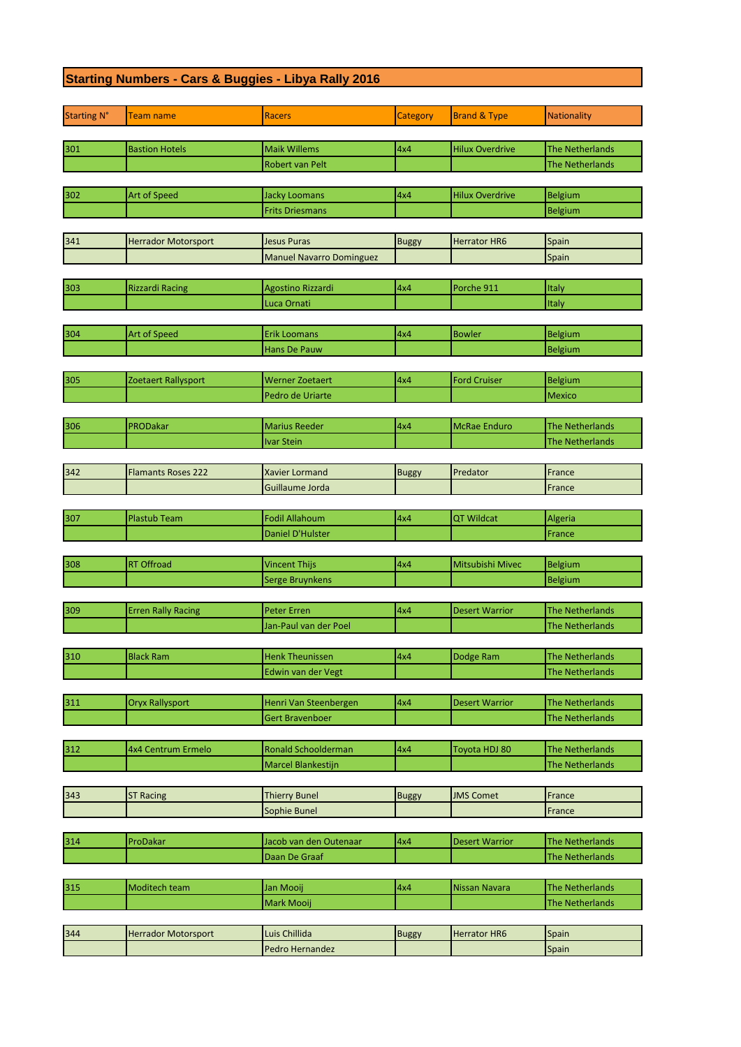## **Starting Numbers - Cars & Buggies - Libya Rally 2016**

| <b>Starting N°</b> | Team name                  | <b>Racers</b>                                    | Category     | <b>Brand &amp; Type</b> | Nationality                                      |
|--------------------|----------------------------|--------------------------------------------------|--------------|-------------------------|--------------------------------------------------|
|                    |                            |                                                  |              |                         |                                                  |
| 301                | <b>Bastion Hotels</b>      | <b>Maik Willems</b>                              | 4x4          | <b>Hilux Overdrive</b>  | The Netherlands                                  |
|                    |                            | <b>Robert van Pelt</b>                           |              |                         | <b>The Netherlands</b>                           |
|                    |                            |                                                  |              |                         |                                                  |
| 302                | Art of Speed               | <b>Jacky Loomans</b>                             | 4x4          | <b>Hilux Overdrive</b>  | <b>Belgium</b>                                   |
|                    |                            | <b>Frits Driesmans</b>                           |              |                         | Belgium                                          |
|                    |                            |                                                  |              |                         |                                                  |
| 341                | <b>Herrador Motorsport</b> | Jesus Puras                                      | <b>Buggy</b> | <b>Herrator HR6</b>     | Spain                                            |
|                    |                            | <b>Manuel Navarro Dominguez</b>                  |              |                         | Spain                                            |
|                    | <b>Rizzardi Racing</b>     |                                                  | 4x4          | Porche 911              | Italy                                            |
| 303                |                            | Agostino Rizzardi<br>Luca Ornati                 |              |                         | Italy                                            |
|                    |                            |                                                  |              |                         |                                                  |
| 304                | Art of Speed               | <b>Erik Loomans</b>                              | 4x4          | <b>Bowler</b>           | Belgium                                          |
|                    |                            | Hans De Pauw                                     |              |                         | <b>Belgium</b>                                   |
|                    |                            |                                                  |              |                         |                                                  |
| 305                | Zoetaert Rallysport        | <b>Werner Zoetaert</b>                           | 4x4          | <b>Ford Cruiser</b>     | Belgium                                          |
|                    |                            | Pedro de Uriarte                                 |              |                         | Mexico                                           |
|                    |                            |                                                  |              |                         |                                                  |
| 306                | PRODakar                   | <b>Marius Reeder</b>                             | 4x4          | <b>McRae Enduro</b>     | <b>The Netherlands</b>                           |
|                    |                            | Ivar Stein                                       |              |                         | The Netherlands                                  |
|                    |                            |                                                  |              |                         |                                                  |
| 342                | <b>Flamants Roses 222</b>  | <b>Xavier Lormand</b>                            | <b>Buggy</b> | Predator                | France                                           |
|                    |                            | Guillaume Jorda                                  |              |                         | France                                           |
|                    |                            |                                                  |              |                         |                                                  |
| 307                | <b>Plastub Team</b>        | <b>Fodil Allahoum</b>                            | 4x4          | QT Wildcat              | Algeria                                          |
|                    |                            | Daniel D'Hulster                                 |              |                         | France                                           |
|                    |                            |                                                  |              |                         |                                                  |
| 308                | <b>RT Offroad</b>          | <b>Vincent Thijs</b>                             | 4x4          | Mitsubishi Mivec        | Belgium                                          |
|                    |                            | Serge Bruynkens                                  |              |                         | Belgium                                          |
|                    |                            |                                                  |              |                         |                                                  |
| 309                | <b>Erren Rally Racing</b>  | <b>Peter Erren</b>                               | 4x4          | <b>Desert Warrior</b>   | The Netherlands                                  |
|                    |                            | Jan-Paul van der Poel                            |              |                         | <b>The Netherlands</b>                           |
|                    |                            |                                                  |              |                         |                                                  |
| 310                | <b>Black Ram</b>           | <b>Henk Theunissen</b>                           | 4x4          | Dodge Ram               | The Netherlands                                  |
|                    |                            | Edwin van der Vegt                               |              |                         | The Netherlands                                  |
|                    |                            |                                                  |              |                         |                                                  |
| 311                | <b>Oryx Rallysport</b>     | Henri Van Steenbergen                            | 4x4          | <b>Desert Warrior</b>   | <b>The Netherlands</b>                           |
|                    |                            | Gert Bravenboer                                  |              |                         | <b>The Netherlands</b>                           |
|                    |                            |                                                  |              |                         |                                                  |
| 312                | 4x4 Centrum Ermelo         | <b>Ronald Schoolderman</b><br>Marcel Blankestijn | 4x4          | Toyota HDJ 80           | <b>The Netherlands</b><br><b>The Netherlands</b> |
|                    |                            |                                                  |              |                         |                                                  |
| 343                | <b>ST Racing</b>           | <b>Thierry Bunel</b>                             | <b>Buggy</b> | <b>JMS Comet</b>        | France                                           |
|                    |                            | Sophie Bunel                                     |              |                         | France                                           |
|                    |                            |                                                  |              |                         |                                                  |
| 314                | ProDakar                   | Jacob van den Outenaar                           | 4x4          | <b>Desert Warrior</b>   | <b>The Netherlands</b>                           |
|                    |                            | Daan De Graaf                                    |              |                         | <b>The Netherlands</b>                           |
|                    |                            |                                                  |              |                         |                                                  |
| 315                | Moditech team              | Jan Mooij                                        | 4x4          | Nissan Navara           | <b>The Netherlands</b>                           |
|                    |                            | Mark Mooij                                       |              |                         | <b>The Netherlands</b>                           |
|                    |                            |                                                  |              |                         |                                                  |
| 344                | <b>Herrador Motorsport</b> | Luis Chillida                                    | <b>Buggy</b> | <b>Herrator HR6</b>     | Spain                                            |
|                    |                            | Pedro Hernandez                                  |              |                         | Spain                                            |
|                    |                            |                                                  |              |                         |                                                  |